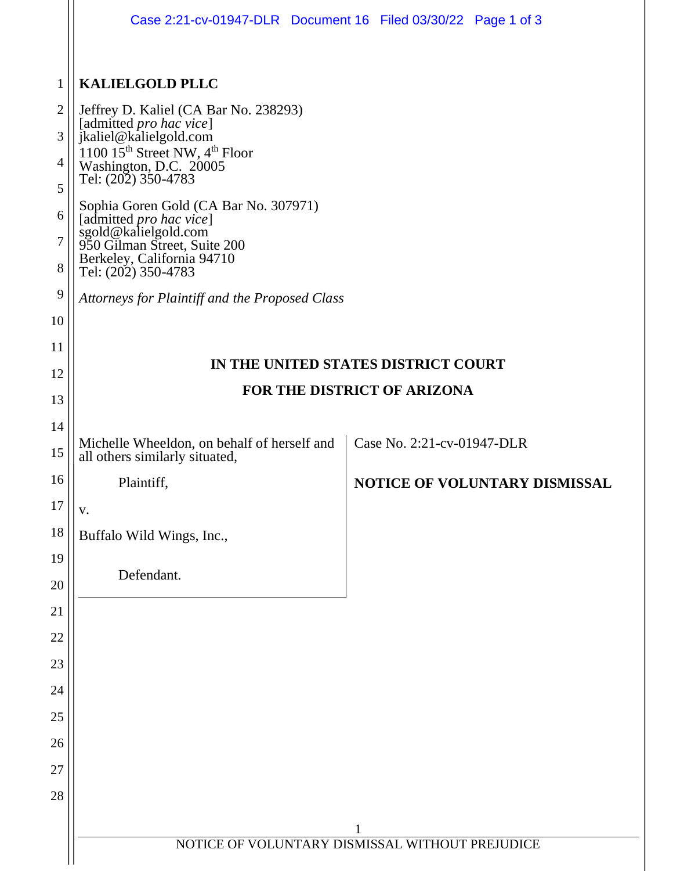|                | Case 2:21-cv-01947-DLR Document 16 Filed 03/30/22 Page 1 of 3                                             |                            |                               |  |
|----------------|-----------------------------------------------------------------------------------------------------------|----------------------------|-------------------------------|--|
| $\mathbf{1}$   | <b>KALIELGOLD PLLC</b>                                                                                    |                            |                               |  |
| $\overline{2}$ | Jeffrey D. Kaliel (CA Bar No. 238293)                                                                     |                            |                               |  |
| 3              | [admitted pro hac vice]<br>jkaliel@kalielgold.com                                                         |                            |                               |  |
| 4              | 1100 15 <sup>th</sup> Street NW, 4 <sup>th</sup> Floor<br>Washington, D.C. 20005                          |                            |                               |  |
| 5              | Tel: (202) 350-4783                                                                                       |                            |                               |  |
| 6              | Sophia Goren Gold (CA Bar No. 307971)<br>[admitted <i>pro hac vice</i> ]                                  |                            |                               |  |
| 7              | sgold@kalielgold.com<br>950 Gilman Street, Suite 200<br>Berkeley, California 94710<br>Tel: (202) 350-4783 |                            |                               |  |
| 8              |                                                                                                           |                            |                               |  |
| 9              | Attorneys for Plaintiff and the Proposed Class                                                            |                            |                               |  |
| 10             |                                                                                                           |                            |                               |  |
| 11             | IN THE UNITED STATES DISTRICT COURT                                                                       |                            |                               |  |
| 12             | FOR THE DISTRICT OF ARIZONA                                                                               |                            |                               |  |
| 13             |                                                                                                           |                            |                               |  |
| 14             | Michelle Wheeldon, on behalf of herself and                                                               | Case No. 2:21-cv-01947-DLR |                               |  |
| 15             | all others similarly situated,                                                                            |                            |                               |  |
| 16             | Plaintiff,                                                                                                |                            | NOTICE OF VOLUNTARY DISMISSAL |  |
| 17             | V.                                                                                                        |                            |                               |  |
| 18             | Buffalo Wild Wings, Inc.,                                                                                 |                            |                               |  |
| 19             | Defendant.                                                                                                |                            |                               |  |
| 20             |                                                                                                           |                            |                               |  |
| 21             |                                                                                                           |                            |                               |  |
| 22             |                                                                                                           |                            |                               |  |
| 23             |                                                                                                           |                            |                               |  |
| 24<br>25       |                                                                                                           |                            |                               |  |
| 26             |                                                                                                           |                            |                               |  |
| 27             |                                                                                                           |                            |                               |  |
| 28             |                                                                                                           |                            |                               |  |
|                |                                                                                                           |                            |                               |  |
|                | $\mathbf 1$<br>NOTICE OF VOLUNTARY DISMISSAL WITHOUT PREJUDICE                                            |                            |                               |  |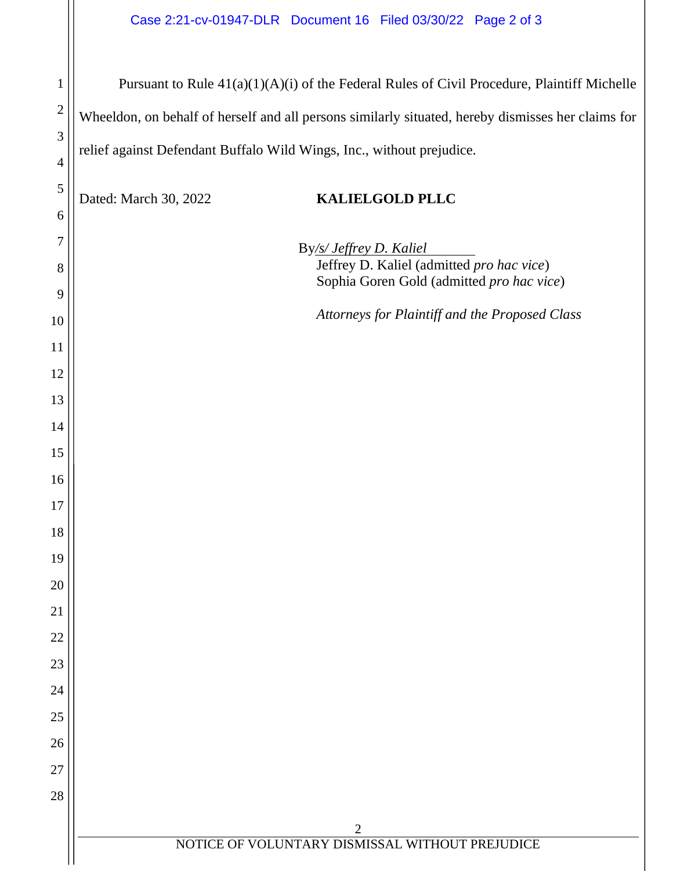|                  | Case 2:21-cv-01947-DLR  Document 16  Filed 03/30/22  Page 2 of 3                                   |  |  |
|------------------|----------------------------------------------------------------------------------------------------|--|--|
|                  |                                                                                                    |  |  |
| $\mathbf{1}$     | Pursuant to Rule 41(a)(1)(A)(i) of the Federal Rules of Civil Procedure, Plaintiff Michelle        |  |  |
| $\boldsymbol{2}$ | Wheeldon, on behalf of herself and all persons similarly situated, hereby dismisses her claims for |  |  |
| 3                | relief against Defendant Buffalo Wild Wings, Inc., without prejudice.                              |  |  |
| $\overline{4}$   |                                                                                                    |  |  |
| $\mathfrak{S}$   | Dated: March 30, 2022<br><b>KALIELGOLD PLLC</b>                                                    |  |  |
| 6                |                                                                                                    |  |  |
| 7                | By/s/ Jeffrey D. Kaliel<br>Jeffrey D. Kaliel (admitted pro hac vice)                               |  |  |
| 8<br>9           | Sophia Goren Gold (admitted pro hac vice)                                                          |  |  |
| 10               | Attorneys for Plaintiff and the Proposed Class                                                     |  |  |
| 11               |                                                                                                    |  |  |
| 12               |                                                                                                    |  |  |
| 13               |                                                                                                    |  |  |
| 14               |                                                                                                    |  |  |
| 15               |                                                                                                    |  |  |
| 16               |                                                                                                    |  |  |
| $17\,$           |                                                                                                    |  |  |
| 18               |                                                                                                    |  |  |
| 19               |                                                                                                    |  |  |
| 20               |                                                                                                    |  |  |
| 21               |                                                                                                    |  |  |
| 22               |                                                                                                    |  |  |
| 23               |                                                                                                    |  |  |
| 24               |                                                                                                    |  |  |
| 25               |                                                                                                    |  |  |
| 26               |                                                                                                    |  |  |
| 27               |                                                                                                    |  |  |
| 28               |                                                                                                    |  |  |
|                  | $\overline{2}$<br>NOTICE OF VOLUNTARY DISMISSAL WITHOUT PREJUDICE                                  |  |  |
|                  |                                                                                                    |  |  |